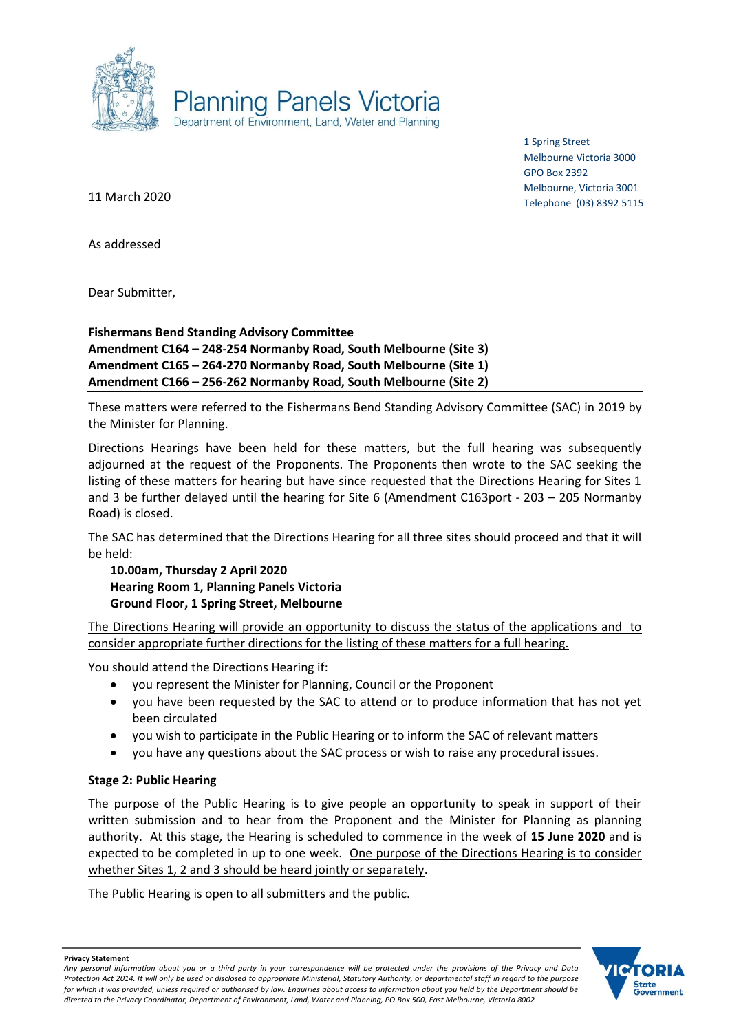

1 Spring Street Melbourne Victoria 3000 GPO Box 2392 Melbourne, Victoria 3001 Telephone (03) 8392 5115

11 March 2020

As addressed

Dear Submitter,

**Fishermans Bend Standing Advisory Committee Amendment C164 – 248-254 Normanby Road, South Melbourne (Site 3) Amendment C165 – 264-270 Normanby Road, South Melbourne (Site 1) Amendment C166 – 256-262 Normanby Road, South Melbourne (Site 2)**

These matters were referred to the Fishermans Bend Standing Advisory Committee (SAC) in 2019 by the Minister for Planning.

Directions Hearings have been held for these matters, but the full hearing was subsequently adjourned at the request of the Proponents. The Proponents then wrote to the SAC seeking the listing of these matters for hearing but have since requested that the Directions Hearing for Sites 1 and 3 be further delayed until the hearing for Site 6 (Amendment C163port - 203 – 205 Normanby Road) is closed.

The SAC has determined that the Directions Hearing for all three sites should proceed and that it will be held:

**10.00am, Thursday 2 April 2020 Hearing Room 1, Planning Panels Victoria Ground Floor, 1 Spring Street, Melbourne**

The Directions Hearing will provide an opportunity to discuss the status of the applications and to consider appropriate further directions for the listing of these matters for a full hearing.

You should attend the Directions Hearing if:

- you represent the Minister for Planning, Council or the Proponent
- you have been requested by the SAC to attend or to produce information that has not yet been circulated
- you wish to participate in the Public Hearing or to inform the SAC of relevant matters
- you have any questions about the SAC process or wish to raise any procedural issues.

#### **Stage 2: Public Hearing**

The purpose of the Public Hearing is to give people an opportunity to speak in support of their written submission and to hear from the Proponent and the Minister for Planning as planning authority. At this stage, the Hearing is scheduled to commence in the week of **15 June 2020** and is expected to be completed in up to one week. One purpose of the Directions Hearing is to consider whether Sites 1, 2 and 3 should be heard jointly or separately.

The Public Hearing is open to all submitters and the public.



**Privacy Statement**

*Any personal information about you or a third party in your correspondence will be protected under the provisions of the Privacy and Data Protection Act 2014. It will only be used or disclosed to appropriate Ministerial, Statutory Authority, or departmental staff in regard to the purpose*  for which it was provided, unless required or authorised by law. Enquiries about access to information about you held by the Department should be *directed to the Privacy Coordinator, Department of Environment, Land, Water and Planning, PO Box 500, East Melbourne, Victoria 8002*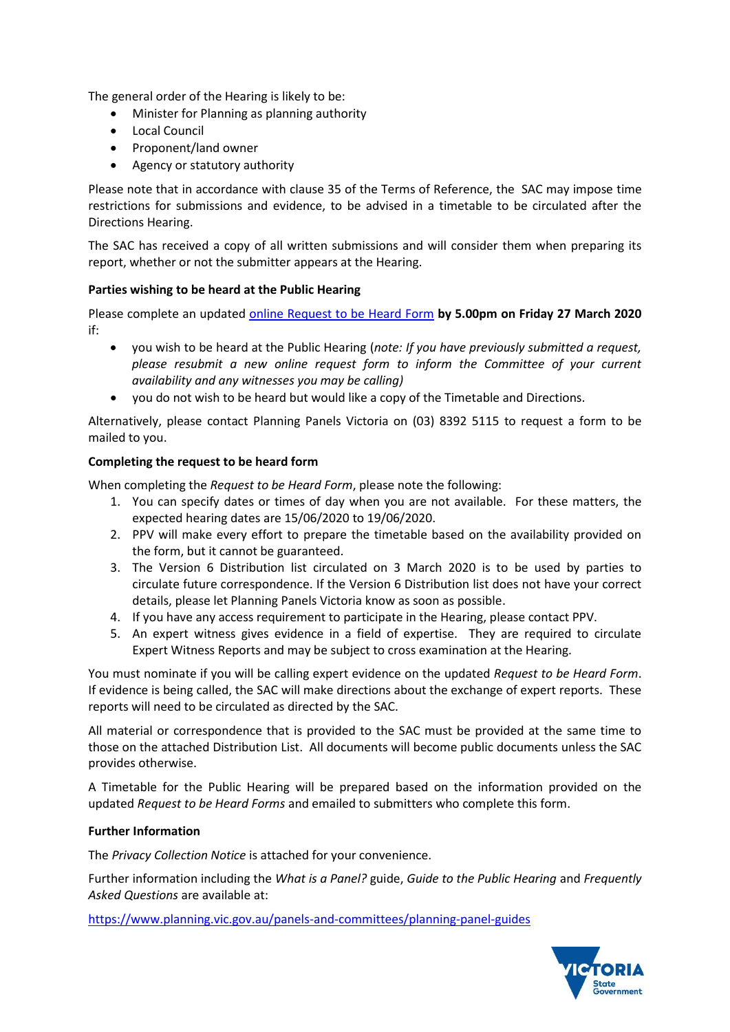The general order of the Hearing is likely to be:

- Minister for Planning as planning authority
- Local Council
- Proponent/land owner
- Agency or statutory authority

Please note that in accordance with clause 35 of the Terms of Reference, the SAC may impose time restrictions for submissions and evidence, to be advised in a timetable to be circulated after the Directions Hearing.

The SAC has received a copy of all written submissions and will consider them when preparing its report, whether or not the submitter appears at the Hearing.

# **Parties wishing to be heard at the Public Hearing**

Please complete an updated [online Request to be Heard Form](https://www.planning.vic.gov.au/panels-and-committees/request-to-be-heard-form) **by 5.00pm on Friday 27 March 2020** if:

- you wish to be heard at the Public Hearing (*note: If you have previously submitted a request, please resubmit a new online request form to inform the Committee of your current availability and any witnesses you may be calling)*
- you do not wish to be heard but would like a copy of the Timetable and Directions.

Alternatively, please contact Planning Panels Victoria on (03) 8392 5115 to request a form to be mailed to you.

# **Completing the request to be heard form**

When completing the *Request to be Heard Form*, please note the following:

- 1. You can specify dates or times of day when you are not available. For these matters, the expected hearing dates are 15/06/2020 to 19/06/2020.
- 2. PPV will make every effort to prepare the timetable based on the availability provided on the form, but it cannot be guaranteed.
- 3. The Version 6 Distribution list circulated on 3 March 2020 is to be used by parties to circulate future correspondence. If the Version 6 Distribution list does not have your correct details, please let Planning Panels Victoria know as soon as possible.
- 4. If you have any access requirement to participate in the Hearing, please contact PPV.
- 5. An expert witness gives evidence in a field of expertise. They are required to circulate Expert Witness Reports and may be subject to cross examination at the Hearing.

You must nominate if you will be calling expert evidence on the updated *Request to be Heard Form*. If evidence is being called, the SAC will make directions about the exchange of expert reports. These reports will need to be circulated as directed by the SAC.

All material or correspondence that is provided to the SAC must be provided at the same time to those on the attached Distribution List. All documents will become public documents unless the SAC provides otherwise.

A Timetable for the Public Hearing will be prepared based on the information provided on the updated *Request to be Heard Forms* and emailed to submitters who complete this form.

### **Further Information**

The *Privacy Collection Notice* is attached for your convenience.

Further information including the *What is a Panel?* guide, *Guide to the Public Hearing* and *Frequently Asked Questions* are available at:

<https://www.planning.vic.gov.au/panels-and-committees/planning-panel-guides>

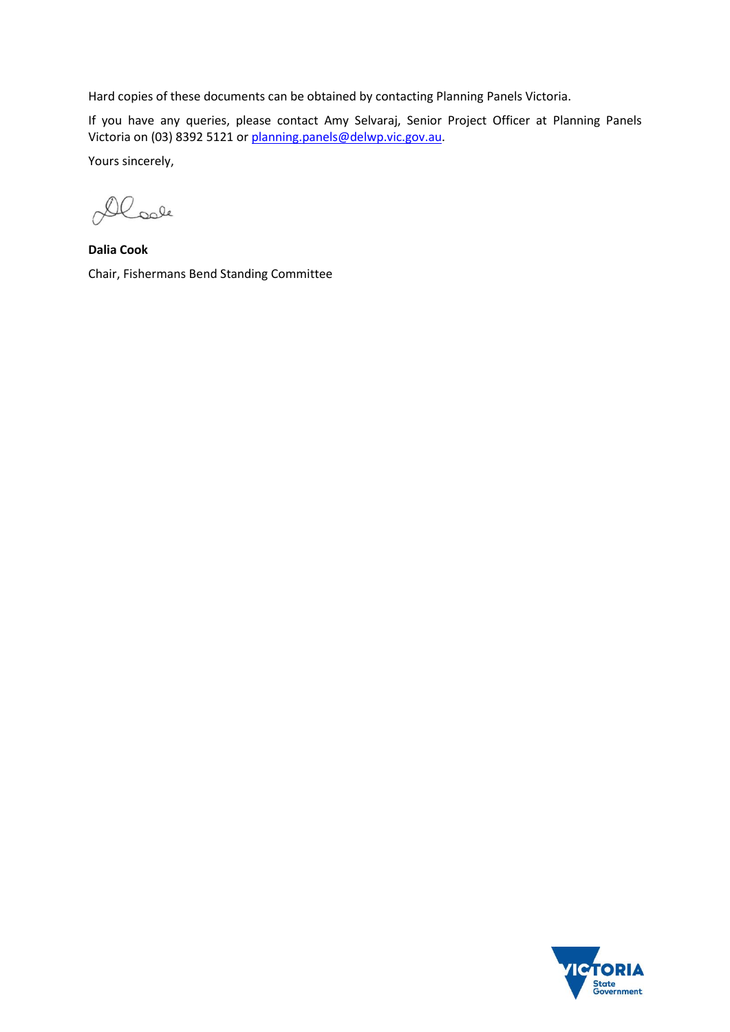Hard copies of these documents can be obtained by contacting Planning Panels Victoria.

If you have any queries, please contact Amy Selvaraj, Senior Project Officer at Planning Panels Victoria on (03) 8392 5121 or [planning.panels@delwp.vic.gov.au.](mailto:planning.panels@delwp.vic.gov.au)

Yours sincerely,

Dloole

**Dalia Cook** Chair, Fishermans Bend Standing Committee